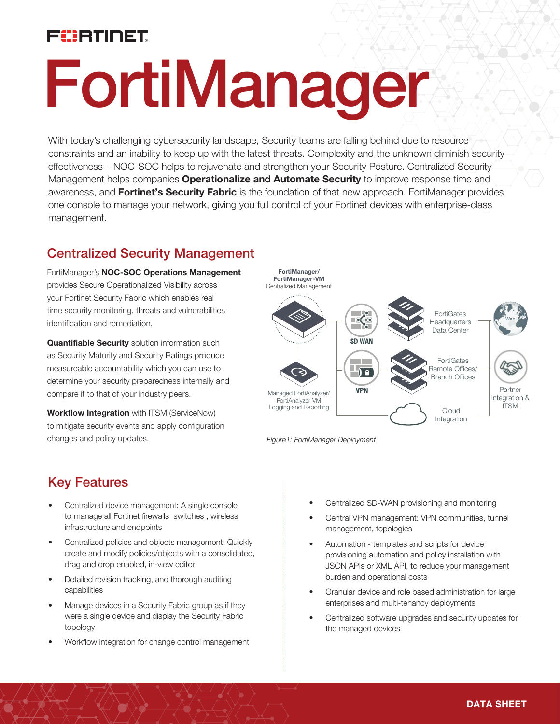# FUERTINET

# FortiManager

With today's challenging cybersecurity landscape, Security teams are falling behind due to resource constraints and an inability to keep up with the latest threats. Complexity and the unknown diminish security effectiveness – NOC-SOC helps to rejuvenate and strengthen your Security Posture. Centralized Security Management helps companies **Operationalize and Automate Security** to improve response time and awareness, and **Fortinet's Security Fabric** is the foundation of that new approach. FortiManager provides one console to manage your network, giving you full control of your Fortinet devices with enterprise-class management.

## Centralized Security Management

FortiManager's NOC-SOC Operations Management provides Secure Operationalized Visibility across your Fortinet Security Fabric which enables real time security monitoring, threats and vulnerabilities identification and remediation.

**Quantifiable Security** solution information such as Security Maturity and Security Ratings produce measureable accountability which you can use to determine your security preparedness internally and compare it to that of your industry peers.

Workflow Integration with ITSM (ServiceNow) to mitigate security events and apply configuration changes and policy updates.



*Figure1: FortiManager Deployment*

## Key Features

- Centralized device management: A single console to manage all Fortinet firewalls switches , wireless infrastructure and endpoints
- Centralized policies and objects management: Quickly create and modify policies/objects with a consolidated, drag and drop enabled, in-view editor
- Detailed revision tracking, and thorough auditing capabilities
- Manage devices in a Security Fabric group as if they were a single device and display the Security Fabric topology
- Workflow integration for change control management
- Centralized SD-WAN provisioning and monitoring
- Central VPN management: VPN communities, tunnel management, topologies
- Automation templates and scripts for device provisioning automation and policy installation with JSON APIs or XML API, to reduce your management burden and operational costs
- Granular device and role based administration for large enterprises and multi-tenancy deployments
- Centralized software upgrades and security updates for the managed devices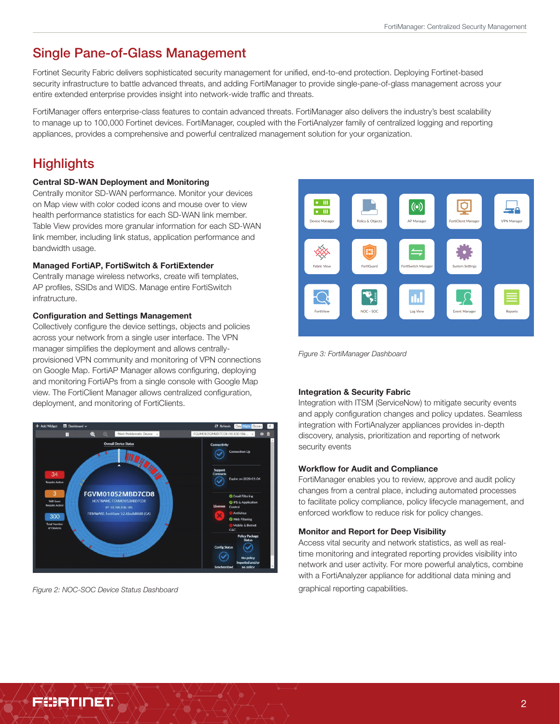## Single Pane-of-Glass Management

Fortinet Security Fabric delivers sophisticated security management for unified, end-to-end protection. Deploying Fortinet-based security infrastructure to battle advanced threats, and adding FortiManager to provide single-pane-of-glass management across your entire extended enterprise provides insight into network-wide traffic and threats.

FortiManager offers enterprise-class features to contain advanced threats. FortiManager also delivers the industry's best scalability to manage up to 100,000 Fortinet devices. FortiManager, coupled with the FortiAnalyzer family of centralized logging and reporting appliances, provides a comprehensive and powerful centralized management solution for your organization.

## **Highlights**

#### Central SD-WAN Deployment and Monitoring

Centrally monitor SD-WAN performance. Monitor your devices on Map view with color coded icons and mouse over to view health performance statistics for each SD-WAN link member. Table View provides more granular information for each SD-WAN link member, including link status, application performance and bandwidth usage.

#### Managed FortiAP, FortiSwitch & FortiExtender

Centrally manage wireless networks, create wifi templates, AP profiles, SSIDs and WIDS. Manage entire FortiSwitch infratructure.

#### Configuration and Settings Management

Collectively configure the device settings, objects and policies across your network from a single user interface. The VPN manager simplifies the deployment and allows centrallyprovisioned VPN community and monitoring of VPN connections on Google Map. FortiAP Manager allows configuring, deploying and monitoring FortiAPs from a single console with Google Map view. The FortiClient Manager allows centralized configuration, deployment, and monitoring of FortiClients.



*Figure 2: NOC-SOC Device Status Dashboard*



*Figure 3: FortiManager Dashboard*

## Integration & Security Fabric

Integration with ITSM (ServiceNow) to mitigate security events and apply configuration changes and policy updates. Seamless integration with FortiAnalyzer appliances provides in-depth discovery, analysis, prioritization and reporting of network security events

#### Workflow for Audit and Compliance

FortiManager enables you to review, approve and audit policy changes from a central place, including automated processes to facilitate policy compliance, policy lifecycle management, and enforced workflow to reduce risk for policy changes.

#### Monitor and Report for Deep Visibility

Access vital security and network statistics, as well as realtime monitoring and integrated reporting provides visibility into network and user activity. For more powerful analytics, combine with a FortiAnalyzer appliance for additional data mining and graphical reporting capabilities.

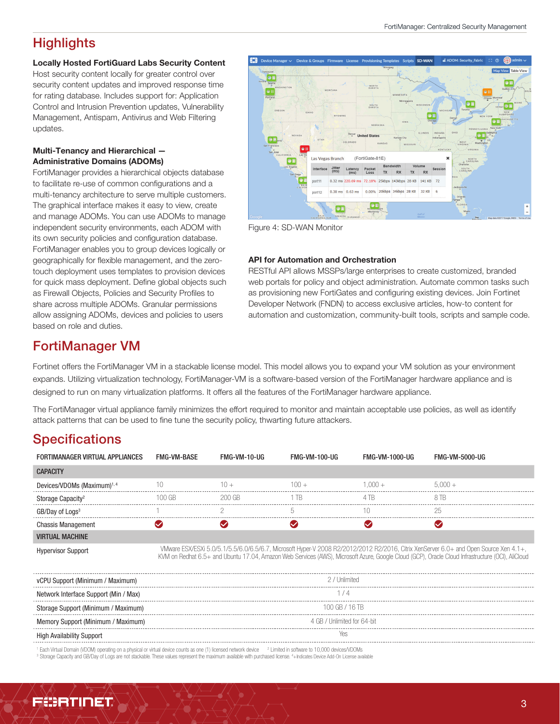## **Highlights**

#### Locally Hosted FortiGuard Labs Security Content

Host security content locally for greater control over security content updates and improved response time for rating database. Includes support for: Application Control and Intrusion Prevention updates, Vulnerability Management, Antispam, Antivirus and Web Filtering updates.

## Multi-Tenancy and Hierarchical — Administrative Domains (ADOMs)

FortiManager provides a hierarchical objects database to facilitate re-use of common configurations and a multi-tenancy architecture to serve multiple customers. The graphical interface makes it easy to view, create and manage ADOMs. You can use ADOMs to manage independent security environments, each ADOM with its own security policies and configuration database. FortiManager enables you to group devices logically or geographically for flexible management, and the zerotouch deployment uses templates to provision devices for quick mass deployment. Define global objects such as Firewall Objects, Policies and Security Profiles to share across multiple ADOMs. Granular permissions allow assigning ADOMs, devices and policies to users based on role and duties.



Figure 4: SD-WAN Monitor

#### API for Automation and Orchestration

RESTful API allows MSSPs/large enterprises to create customized, branded web portals for policy and object administration. Automate common tasks such as provisioning new FortiGates and configuring existing devices. Join Fortinet Developer Network (FNDN) to access exclusive articles, how-to content for automation and customization, community-built tools, scripts and sample code.

## FortiManager VM

Fortinet offers the FortiManager VM in a stackable license model. This model allows you to expand your VM solution as your environment expands. Utilizing virtualization technology, FortiManager-VM is a software-based version of the FortiManager hardware appliance and is designed to run on many virtualization platforms. It offers all the features of the FortiManager hardware appliance.

The FortiManager virtual appliance family minimizes the effort required to monitor and maintain acceptable use policies, as well as identify attack patterns that can be used to fine tune the security policy, thwarting future attackers.

## **Specifications**

| FORTIMANAGER VIRTUAL APPLIANCES         | FMG-VM-BASE | FMG-VM-10-UG | <b>FMG-VM-100-UG</b> | FMG-VM-1000-UG | <b>FMG-VM-5000-UG</b> |
|-----------------------------------------|-------------|--------------|----------------------|----------------|-----------------------|
| <b>CAPACITY</b>                         |             |              |                      |                |                       |
| Devices/VDOMs (Maximum) <sup>1, 4</sup> |             |              | $($ $)($ $)$ $+$     | $(1)(1) +$     | 5 NUU +               |
|                                         | NN GR       | 200 GB       |                      |                | 8 I B                 |
| GB/Day of Logs <sup>3</sup>             |             |              |                      |                |                       |
| <b>Chassis Management</b>               |             |              |                      |                |                       |
| <b>VIRTUAL MACHINE</b>                  |             |              |                      |                |                       |

Hypervisor Support VMware ESX/ESXi 5.0/5.1/5.5/6.0/6.5/6.7, Microsoft Hyper-V 2008 R2/2012/2012 R2/2016, Citrix XenServer 6.0+ and Open Source Xen 4.1+, KVM on Redhat 6.5+ and Ubuntu 17.04, Amazon Web Services (AWS), Microsoft Azure, Google Cloud (GCP), Oracle Cloud Infrastructure (OCI), AliCloud

| Support (Minimum / Maximum)           | 2 / Unlimited               |  |
|---------------------------------------|-----------------------------|--|
| Network Interface Support (Min / Max) |                             |  |
| Storage Support (Minimum / Maximum)   | 100 GB / 16 TB              |  |
| ory Support (Minimum / Maximum)       | 4 GB / Unlimited for 64-bit |  |
| <b>High Availability Support</b>      | Υeς                         |  |
|                                       |                             |  |

<sup>1</sup> Each Virtual Domain (VDOM) operating on a physical or virtual device counts as one (1) licensed network device <sup>2</sup> Limited in software to 10,000 devices/VDOMs<br><sup>3</sup> Storane Canacity and GB/Day of Lors are not stackable. Storage Capacity and GB/Day of Logs are not stackable. These values represent the maximum available with purchased license. 4+Indicates Device Add-On License available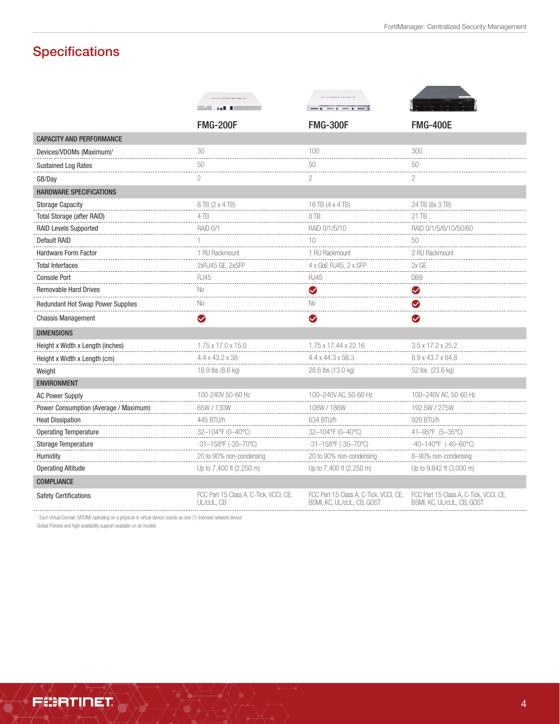## **Specifications**

|                                       | <b>CONTRACTOR</b>                                    | <b>CARL CARD TO BE A</b>                                                                                                                                                                                                      |                                                                      |
|---------------------------------------|------------------------------------------------------|-------------------------------------------------------------------------------------------------------------------------------------------------------------------------------------------------------------------------------|----------------------------------------------------------------------|
|                                       |                                                      | I SHE WAS ALLEY FOR THE STATE OF STATE OF STATE OF STATE OF STATE OF STATE OF STATE OF STATE OF STATE OF STATE OF STATE OF STATE OF STATE OF STATE OF STATE OF STATE OF STATE OF STATE OF STATE OF STATE OF STATE OF STATE OF |                                                                      |
|                                       | <b>FMG-200F</b>                                      | <b>FMG-300F</b>                                                                                                                                                                                                               | <b>FMG-400E</b>                                                      |
| <b>CAPACITY AND PERFORMANCE</b>       |                                                      |                                                                                                                                                                                                                               |                                                                      |
| Devices/VDOMs (Maximum) <sup>1</sup>  | 30                                                   | 100                                                                                                                                                                                                                           | 300                                                                  |
| <b>Sustained Log Rates</b>            | 50                                                   | 50                                                                                                                                                                                                                            | 50                                                                   |
| GB/Day                                | $\overline{2}$                                       | $\overline{c}$                                                                                                                                                                                                                | $\overline{c}$                                                       |
| <b>HARDWARE SPECIFICATIONS</b>        |                                                      |                                                                                                                                                                                                                               |                                                                      |
| <b>Storage Capacity</b>               | 8 TB (2 x 4 TB)                                      | 16 TB (4 x 4 TB)                                                                                                                                                                                                              | 24 TB (8x 3 TB)                                                      |
| Total Storage (after RAID)            | 4TB                                                  | 8TB                                                                                                                                                                                                                           | 21 TB                                                                |
| <b>RAID Levels Supported</b>          | <b>RAID 0/1</b>                                      | RAID 0/1/5/10                                                                                                                                                                                                                 | RAID 0/1/5/6/10/50/60                                                |
| <b>Default RAID</b>                   |                                                      | 10                                                                                                                                                                                                                            | 50                                                                   |
| Hardware Form Factor                  | 1 RU Rackmount                                       | 1 RU Rackmount                                                                                                                                                                                                                | 2 RU Rackmount                                                       |
| <b>Total Interfaces</b>               | 2xRJ45 GE, 2xSFP                                     | 4 x GbE RJ45, 2 x SFP                                                                                                                                                                                                         | 2x GE                                                                |
| <b>Console Port</b>                   | <b>RJ45</b>                                          | <b>RJ45</b>                                                                                                                                                                                                                   | DB <sub>9</sub>                                                      |
| <b>Removable Hard Drives</b>          | No                                                   | $\bullet$                                                                                                                                                                                                                     | $\blacktriangledown$                                                 |
| Redundant Hot Swap Power Supplies     | No                                                   | No.                                                                                                                                                                                                                           | Ø                                                                    |
| <b>Chassis Management</b>             | $\blacktriangledown$                                 | Ø                                                                                                                                                                                                                             | $\blacktriangledown$                                                 |
| <b>DIMENSIONS</b>                     |                                                      |                                                                                                                                                                                                                               |                                                                      |
| Height x Width x Length (inches)      | 1.75 x 17.0 x 15.0                                   | 1.75 x 17.44 x 22.16                                                                                                                                                                                                          | $3.5 \times 17.2 \times 25.2$                                        |
| Height x Width x Length (cm)          | 4.4 x 43.2 x 38                                      | 4.4 x 44.3 x 56.3                                                                                                                                                                                                             | 8.9 x 43.7 x 64.8                                                    |
| Weight                                | 18.9 lbs (8.6 kg)                                    | 28.6 lbs (13.0 kg)                                                                                                                                                                                                            | 52 lbs (23.6 kg)                                                     |
| <b>ENVIRONMENT</b>                    |                                                      |                                                                                                                                                                                                                               |                                                                      |
| <b>AC Power Supply</b>                | 100-240V 50-60 Hz                                    | 100-240V AC, 50-60 Hz                                                                                                                                                                                                         | 100-240V AC, 50-60 Hz                                                |
| Power Consumption (Average / Maximum) | 65W / 130W                                           | 108W / 186W                                                                                                                                                                                                                   | 192.5W / 275W                                                        |
| <b>Heat Dissipation</b>               | 445 BTU/h                                            | 634 BTU/h                                                                                                                                                                                                                     | 920 BTU/h                                                            |
| <b>Operating Temperature</b>          | 32-104°F (0-40°C)                                    | 32-104°F (0-40°C)                                                                                                                                                                                                             | 41-95°F (5-35°C)                                                     |
| Storage Temperature                   | $-31-158$ °F (-35-70°C)                              | $-31-158$ °F (-35-70°C)                                                                                                                                                                                                       | $-40-140^{\circ}F$ (-40-60°C)                                        |
| Humidity                              | 20 to 90% non-condensing                             | 20 to 90% non-condensing                                                                                                                                                                                                      | 8-90% non-condensing                                                 |
| <b>Operating Altitude</b>             | Up to 7,400 ft (2,250 m)                             | Up to 7,400 ft (2,250 m)                                                                                                                                                                                                      | Up to 9,842 ft (3,000 m)                                             |
| <b>COMPLIANCE</b>                     |                                                      |                                                                                                                                                                                                                               |                                                                      |
| <b>Safety Certifications</b>          | FCC Part 15 Class A, C-Tick, VCCI, CE,<br>UL/cUL, CB | FCC Part 15 Class A, C-Tick, VCCI, CE,<br>BSMI, KC, UL/cUL, CB, GOST                                                                                                                                                          | FCC Part 15 Class A, C-Tick, VCCI, CE,<br>BSMI, KC, UL/cUL, CB, GOST |

1 Each Virtual Domain (VDOM) operating on a physical or virtual device counts as one (1) licensed network device

Global Policies and high availability support available on all models

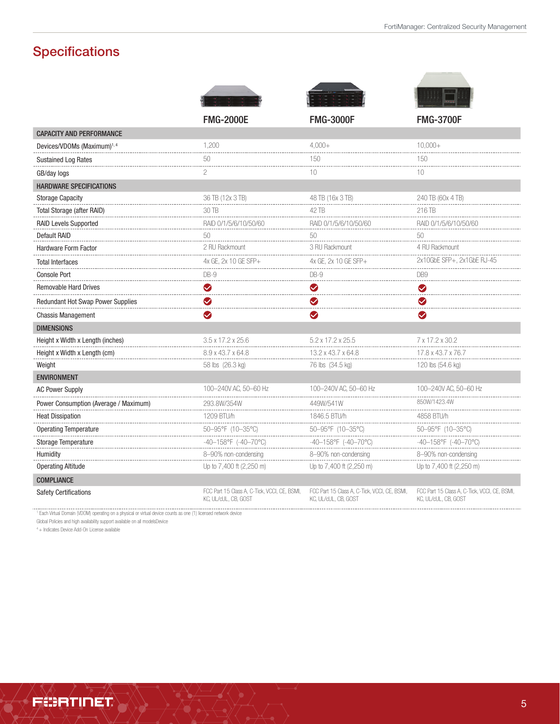# **Specifications**

|                                          | <b>FMG-2000E</b>                                                     | <b>FMG-3000F</b>                                                     | <b>FMG-3700F</b>                                                     |
|------------------------------------------|----------------------------------------------------------------------|----------------------------------------------------------------------|----------------------------------------------------------------------|
| <b>CAPACITY AND PERFORMANCE</b>          |                                                                      |                                                                      |                                                                      |
| Devices/VDOMs (Maximum) <sup>1,4</sup>   | 1,200                                                                | $4.000+$                                                             | $10.000+$                                                            |
| <b>Sustained Log Rates</b>               | 50                                                                   | 150                                                                  | 150                                                                  |
| GB/day logs                              | $\mathbf{2}$                                                         | 10                                                                   | 10                                                                   |
| <b>HARDWARE SPECIFICATIONS</b>           |                                                                      |                                                                      |                                                                      |
| <b>Storage Capacity</b>                  | 36 TB (12x 3 TB)                                                     | 48 TB (16x 3 TB)                                                     | 240 TB (60x 4 TB)                                                    |
| Total Storage (after RAID)               | 30 TB                                                                | 42 TB                                                                | 216 TB                                                               |
| <b>RAID Levels Supported</b>             | RAID 0/1/5/6/10/50/60                                                | RAID 0/1/5/6/10/50/60                                                | RAID 0/1/5/6/10/50/60                                                |
| <b>Default RAID</b>                      | 50                                                                   | 50<br>.                                                              | 50<br>.                                                              |
| Hardware Form Factor                     | 2 RU Rackmount                                                       | 3 RU Rackmount                                                       | 4 RU Rackmount                                                       |
| <b>Total Interfaces</b>                  | 4x GE, 2x 10 GE SFP+                                                 | 4x GE, 2x 10 GE SFP+                                                 | 2x10GbE SFP+, 2x1GbE RJ-45                                           |
| <b>Console Port</b>                      | $DB-9$                                                               | $DB-9$                                                               | D <sub>B9</sub>                                                      |
| <b>Removable Hard Drives</b>             | $\blacktriangledown$                                                 | $\bullet$                                                            | $\bullet$                                                            |
| <b>Redundant Hot Swap Power Supplies</b> | ◙                                                                    | ❤                                                                    | ❤                                                                    |
| <b>Chassis Management</b>                | $\bullet$                                                            | ❤                                                                    | ◙                                                                    |
| <b>DIMENSIONS</b>                        |                                                                      |                                                                      |                                                                      |
| Height x Width x Length (inches)         | 3.5 x 17.2 x 25.6                                                    | 5.2 x 17.2 x 25.5                                                    | 7 x 17.2 x 30.2                                                      |
| Height x Width x Length (cm)             | 8.9 x 43.7 x 64.8                                                    | 13.2 x 43.7 x 64.8                                                   | 17.8 x 43.7 x 76.7                                                   |
| Weight                                   | 58 lbs (26.3 kg)                                                     | 76 lbs (34.5 kg)                                                     | 120 lbs (54.6 kg)                                                    |
| <b>ENVIRONMENT</b>                       |                                                                      |                                                                      |                                                                      |
| <b>AC Power Supply</b>                   | 100-240V AC, 50-60 Hz                                                | 100-240V AC, 50-60 Hz                                                | 100-240V AC, 50-60 Hz                                                |
| Power Consumption (Average / Maximum)    | 293.8W/354W                                                          | 449W/541W<br>.                                                       | 850W/1423.4W                                                         |
| <b>Heat Dissipation</b>                  | 1209 BTU/h                                                           | 1846.5 BTU/h                                                         | 4858 BTU/h                                                           |
| <b>Operating Temperature</b>             | 50-95°F (10-35°C)                                                    | 50-95°F (10-35°C)                                                    | 50-95°F (10-35°C)                                                    |
| Storage Temperature                      | $-40-158$ °F (-40-70°C)                                              | -40-158°F (-40-70°C)                                                 | -40-158°F (-40-70°C)                                                 |
| Humidity                                 | 8-90% non-condensing                                                 | 8-90% non-condensing                                                 | 8-90% non-condensing                                                 |
| <b>Operating Altitude</b>                | Up to 7,400 ft (2,250 m)                                             | Up to 7,400 ft (2,250 m)                                             | Up to 7,400 ft (2,250 m)                                             |
| <b>COMPLIANCE</b>                        |                                                                      |                                                                      |                                                                      |
| Safety Certifications                    | FCC Part 15 Class A, C-Tick, VCCI, CE, BSMI,<br>KC, UL/cUL, CB, GOST | FCC Part 15 Class A, C-Tick, VCCI, CE, BSMI,<br>KC, UL/cUL, CB, GOST | FCC Part 15 Class A, C-Tick, VCCI, CE, BSMI,<br>KC, UL/cUL, CB, GOST |

1 Each Virtual Domain (VDOM) operating on a physical or virtual device counts as one (1) licensed network device

Global Policies and high availability support available on all modelsDevice

4 + Indicates Device Add-On License available